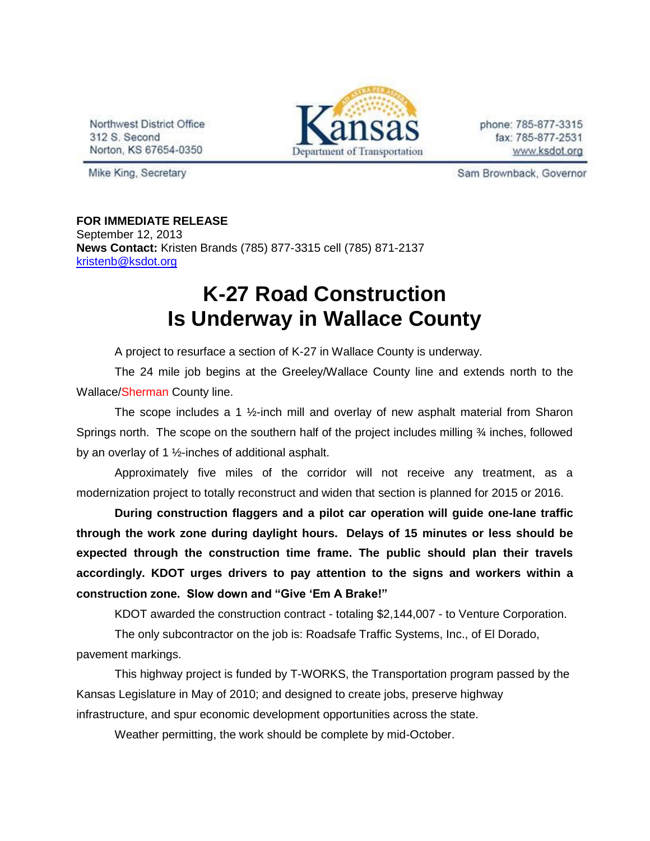Northwest District Office 312 S. Second Norton, KS 67654-0350



phone: 785-877-3315 fax: 785-877-2531 www.ksdot.org

Mike King, Secretary

Sam Brownback, Governor

## **FOR IMMEDIATE RELEASE**

September 12, 2013 **News Contact:** Kristen Brands (785) 877-3315 cell (785) 871-2137 [kristenb@ksdot.org](mailto:kristenb@ksdot.org)

## **K-27 Road Construction Is Underway in Wallace County**

A project to resurface a section of K-27 in Wallace County is underway.

The 24 mile job begins at the Greeley/Wallace County line and extends north to the Wallace/Sherman County line.

The scope includes a 1  $\frac{1}{2}$ -inch mill and overlay of new asphalt material from Sharon Springs north. The scope on the southern half of the project includes milling ¾ inches, followed by an overlay of 1 ½-inches of additional asphalt.

Approximately five miles of the corridor will not receive any treatment, as a modernization project to totally reconstruct and widen that section is planned for 2015 or 2016.

**During construction flaggers and a pilot car operation will guide one-lane traffic through the work zone during daylight hours. Delays of 15 minutes or less should be expected through the construction time frame. The public should plan their travels accordingly. KDOT urges drivers to pay attention to the signs and workers within a construction zone. Slow down and "Give 'Em A Brake!"**

KDOT awarded the construction contract - totaling \$2,144,007 - to Venture Corporation.

The only subcontractor on the job is: Roadsafe Traffic Systems, Inc., of El Dorado,

pavement markings.

This highway project is funded by T-WORKS, the Transportation program passed by the Kansas Legislature in May of 2010; and designed to create jobs, preserve highway infrastructure, and spur economic development opportunities across the state.

Weather permitting, the work should be complete by mid-October.